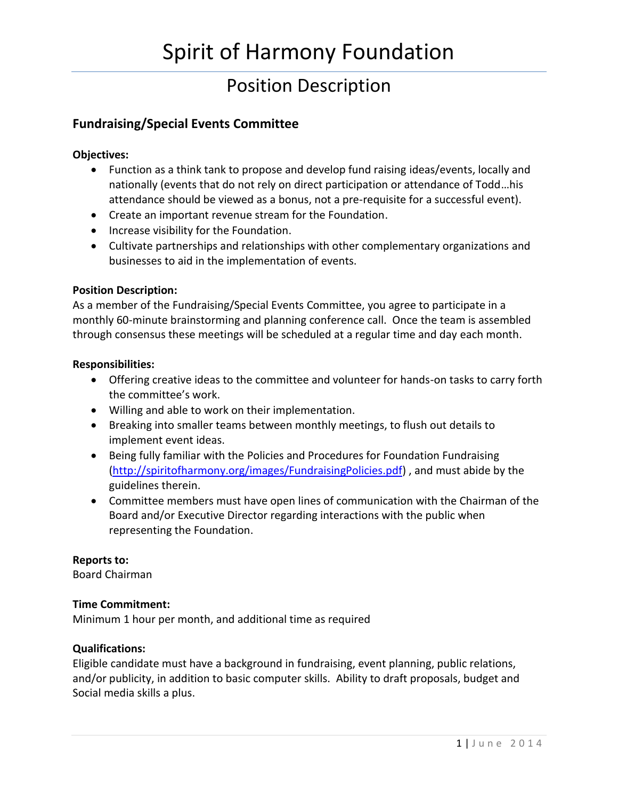## Position Description

### **Fundraising/Special Events Committee**

#### **Objectives:**

- Function as a think tank to propose and develop fund raising ideas/events, locally and nationally (events that do not rely on direct participation or attendance of Todd…his attendance should be viewed as a bonus, not a pre-requisite for a successful event).
- Create an important revenue stream for the Foundation.
- Increase visibility for the Foundation.
- Cultivate partnerships and relationships with other complementary organizations and businesses to aid in the implementation of events.

#### **Position Description:**

As a member of the Fundraising/Special Events Committee, you agree to participate in a monthly 60-minute brainstorming and planning conference call. Once the team is assembled through consensus these meetings will be scheduled at a regular time and day each month.

#### **Responsibilities:**

- Offering creative ideas to the committee and volunteer for hands-on tasks to carry forth the committee's work.
- Willing and able to work on their implementation.
- Breaking into smaller teams between monthly meetings, to flush out details to implement event ideas.
- Being fully familiar with the Policies and Procedures for Foundation Fundraising [\(http://spiritofharmony.org/images/FundraisingPolicies.pdf\)](http://spiritofharmony.org/images/FundraisingPolicies.pdf) , and must abide by the guidelines therein.
- Committee members must have open lines of communication with the Chairman of the Board and/or Executive Director regarding interactions with the public when representing the Foundation.

#### **Reports to:**

Board Chairman

#### **Time Commitment:**

Minimum 1 hour per month, and additional time as required

#### **Qualifications:**

Eligible candidate must have a background in fundraising, event planning, public relations, and/or publicity, in addition to basic computer skills. Ability to draft proposals, budget and Social media skills a plus.